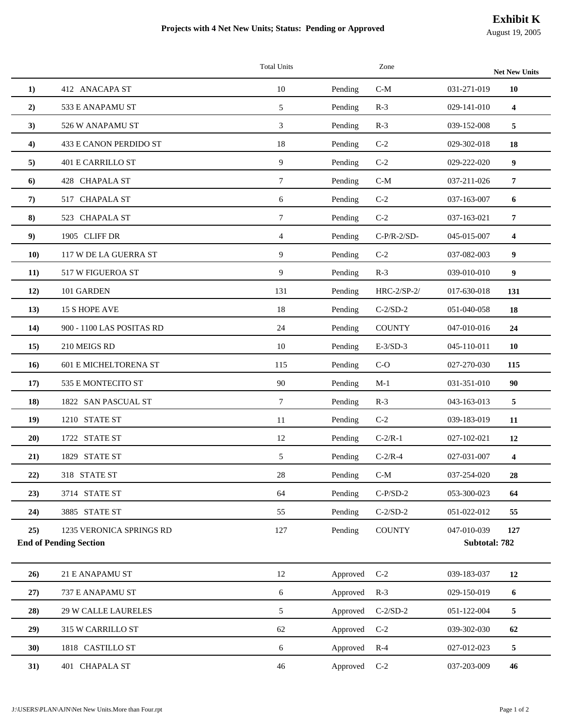## **Projects with 4 Net New Units; Status: Pending or Approved**

| August 19, 2005 |  |
|-----------------|--|
|-----------------|--|

|                   |                                                           | <b>Total Units</b> |              | Zone          |                              | <b>Net New Units</b>    |
|-------------------|-----------------------------------------------------------|--------------------|--------------|---------------|------------------------------|-------------------------|
| 1)                | 412 ANACAPA ST                                            | 10                 | Pending      | $C-M$         | 031-271-019                  | 10                      |
| 2)                | 533 E ANAPAMU ST                                          | 5                  | Pending      | $R-3$         | 029-141-010                  | $\overline{\mathbf{4}}$ |
| 3)                | 526 W ANAPAMU ST                                          | 3                  | Pending      | $R-3$         | 039-152-008                  | 5                       |
| $\left( 4\right)$ | 433 E CANON PERDIDO ST                                    | 18                 | Pending      | $C-2$         | 029-302-018                  | 18                      |
| 5)                | <b>401 E CARRILLO ST</b>                                  | 9                  | Pending      | $C-2$         | 029-222-020                  | 9                       |
| 6)                | 428 CHAPALA ST                                            | $\tau$             | Pending      | $C-M$         | 037-211-026                  | 7                       |
| 7)                | 517 CHAPALA ST                                            | 6                  | Pending      | $C-2$         | 037-163-007                  | 6                       |
| 8)                | 523 CHAPALA ST                                            | $\tau$             | Pending      | $C-2$         | 037-163-021                  | 7                       |
| 9)                | 1905 CLIFF DR                                             | $\overline{4}$     | Pending      | $C-P/R-2/SD-$ | 045-015-007                  | $\overline{\mathbf{4}}$ |
| <b>10</b> )       | 117 W DE LA GUERRA ST                                     | 9                  | Pending      | $C-2$         | 037-082-003                  | 9                       |
| 11)               | 517 W FIGUEROA ST                                         | 9                  | Pending      | $R-3$         | 039-010-010                  | 9                       |
| 12)               | 101 GARDEN                                                | 131                | Pending      | HRC-2/SP-2/   | 017-630-018                  | 131                     |
| 13)               | 15 S HOPE AVE                                             | 18                 | Pending      | $C-2/SD-2$    | 051-040-058                  | 18                      |
| 14)               | 900 - 1100 LAS POSITAS RD                                 | 24                 | Pending      | <b>COUNTY</b> | 047-010-016                  | 24                      |
| 15)               | 210 MEIGS RD                                              | 10                 | Pending      | $E-3/SD-3$    | 045-110-011                  | 10                      |
| <b>16</b> )       | <b>601 E MICHELTORENA ST</b>                              | 115                | Pending      | $C-O$         | 027-270-030                  | 115                     |
| 17)               | 535 E MONTECITO ST                                        | 90                 | Pending      | $M-1$         | 031-351-010                  | 90                      |
| 18)               | 1822 SAN PASCUAL ST                                       | $\tau$             | Pending      | $R-3$         | 043-163-013                  | 5                       |
| 19)               | 1210 STATE ST                                             | 11                 | Pending      | $C-2$         | 039-183-019                  | 11                      |
| 20)               | 1722 STATE ST                                             | 12                 | Pending      | $C-2/R-1$     | 027-102-021                  | 12                      |
| 21)               | 1829 STATE ST                                             | 5                  | Pending      | $C-2/R-4$     | 027-031-007                  | $\overline{\mathbf{4}}$ |
| 22)               | 318 STATE ST                                              | 28                 | Pending      | $C-M$         | 037-254-020                  | 28                      |
| 23)               | 3714 STATE ST                                             | 64                 | Pending      | $C-P/SD-2$    | 053-300-023                  | 64                      |
| 24)               | 3885 STATE ST                                             | 55                 | Pending      | $C-2/SD-2$    | 051-022-012                  | 55                      |
| 25)               | 1235 VERONICA SPRINGS RD<br><b>End of Pending Section</b> | 127                | Pending      | <b>COUNTY</b> | 047-010-039<br>Subtotal: 782 | 127                     |
| 26)               | 21 E ANAPAMU ST                                           | 12                 | Approved     | $C-2$         | 039-183-037                  | 12                      |
| 27)               | 737 E ANAPAMU ST                                          | $6\,$              | Approved R-3 |               | 029-150-019                  | 6                       |
| 28)               | <b>29 W CALLE LAURELES</b>                                | 5                  | Approved     | $C-2/SD-2$    | 051-122-004                  | 5                       |
| 29)               | 315 W CARRILLO ST                                         | 62                 | Approved     | $C-2$         | 039-302-030                  | 62                      |
| 30)               | 1818 CASTILLO ST                                          | 6                  | Approved R-4 |               | 027-012-023                  | $\overline{\mathbf{5}}$ |
| 31)               | 401 CHAPALA ST                                            | 46                 | Approved C-2 |               | 037-203-009                  | 46                      |